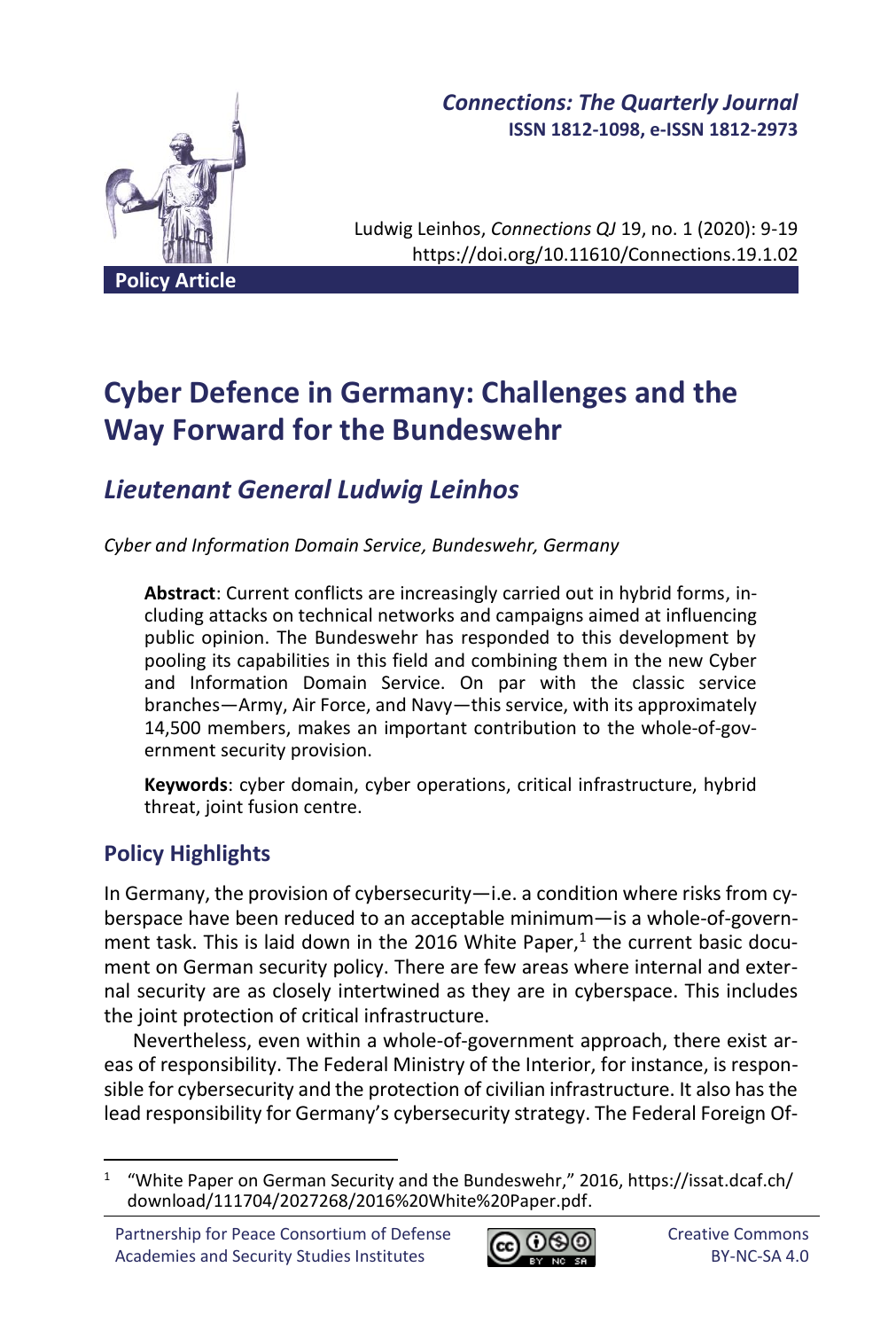

## *Connections: The Quarterly Journal* **ISSN 1812-1098, e-ISSN 1812-2973**

Ludwig Leinhos, *Connections QJ* 19, no. 1 (2020): 9-19 https://doi.org/10.11610/Connections.19.1.02

# **Cyber Defence in Germany: Challenges and the Way Forward for the Bundeswehr**

# *Lieutenant General Ludwig Leinhos*

*Cyber and Information Domain Service, Bundeswehr, Germany* 

**Abstract**: Current conflicts are increasingly carried out in hybrid forms, including attacks on technical networks and campaigns aimed at influencing public opinion. The Bundeswehr has responded to this development by pooling its capabilities in this field and combining them in the new Cyber and Information Domain Service. On par with the classic service branches—Army, Air Force, and Navy—this service, with its approximately 14,500 members, makes an important contribution to the whole-of-government security provision.

**Keywords**: cyber domain, cyber operations, critical infrastructure, hybrid threat, joint fusion centre.

# **Policy Highlights**

In Germany, the provision of cybersecurity—i.e. a condition where risks from cyberspace have been reduced to an acceptable minimum—is a whole-of-government task. This is laid down in the 2016 White Paper,<sup>1</sup> the current basic document on German security policy. There are few areas where internal and external security are as closely intertwined as they are in cyberspace. This includes the joint protection of critical infrastructure.

Nevertheless, even within a whole-of-government approach, there exist areas of responsibility. The Federal Ministry of the Interior, for instance, is responsible for cybersecurity and the protection of civilian infrastructure. It also has the lead responsibility for Germany's cybersecurity strategy. The Federal Foreign Of-



<sup>&</sup>lt;sup>1</sup> "White Paper on German Security and the Bundeswehr," 2016, https://issat.dcaf.ch/ download/111704/2027268/2016%20White%20Paper.pdf.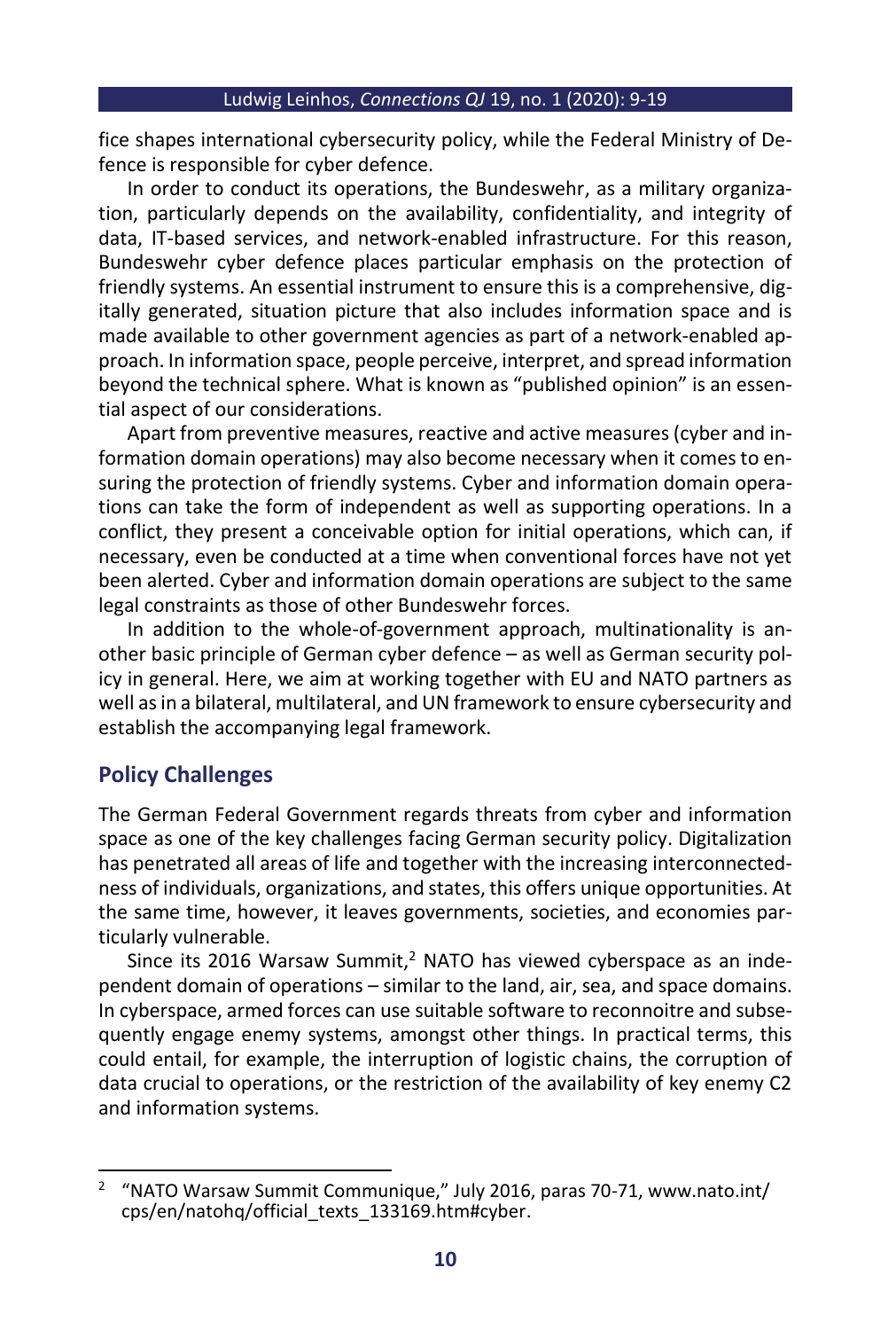fice shapes international cybersecurity policy, while the Federal Ministry of Defence is responsible for cyber defence.

In order to conduct its operations, the Bundeswehr, as a military organization, particularly depends on the availability, confidentiality, and integrity of data, IT-based services, and network-enabled infrastructure. For this reason, Bundeswehr cyber defence places particular emphasis on the protection of friendly systems. An essential instrument to ensure this is a comprehensive, digitally generated, situation picture that also includes information space and is made available to other government agencies as part of a network-enabled approach. In information space, people perceive, interpret, and spread information beyond the technical sphere. What is known as "published opinion" is an essential aspect of our considerations.

Apart from preventive measures, reactive and active measures (cyber and information domain operations) may also become necessary when it comes to ensuring the protection of friendly systems. Cyber and information domain operations can take the form of independent as well as supporting operations. In a conflict, they present a conceivable option for initial operations, which can, if necessary, even be conducted at a time when conventional forces have not yet been alerted. Cyber and information domain operations are subject to the same legal constraints as those of other Bundeswehr forces.

In addition to the whole-of-government approach, multinationality is another basic principle of German cyber defence – as well as German security policy in general. Here, we aim at working together with EU and NATO partners as well as in a bilateral, multilateral, and UN framework to ensure cybersecurity and establish the accompanying legal framework.

## **Policy Challenges**

The German Federal Government regards threats from cyber and information space as one of the key challenges facing German security policy. Digitalization has penetrated all areas of life and together with the increasing interconnectedness of individuals, organizations, and states, this offers unique opportunities. At the same time, however, it leaves governments, societies, and economies particularly vulnerable.

Since its 2016 Warsaw Summit, $2$  NATO has viewed cyberspace as an independent domain of operations – similar to the land, air, sea, and space domains. In cyberspace, armed forces can use suitable software to reconnoitre and subsequently engage enemy systems, amongst other things. In practical terms, this could entail, for example, the interruption of logistic chains, the corruption of data crucial to operations, or the restriction of the availability of key enemy C2 and information systems.

<sup>&</sup>lt;sup>2</sup> "NATO Warsaw Summit Communique," July 2016, paras 70-71, www.nato.int/ cps/en/natohq/official\_texts\_133169.htm#cyber.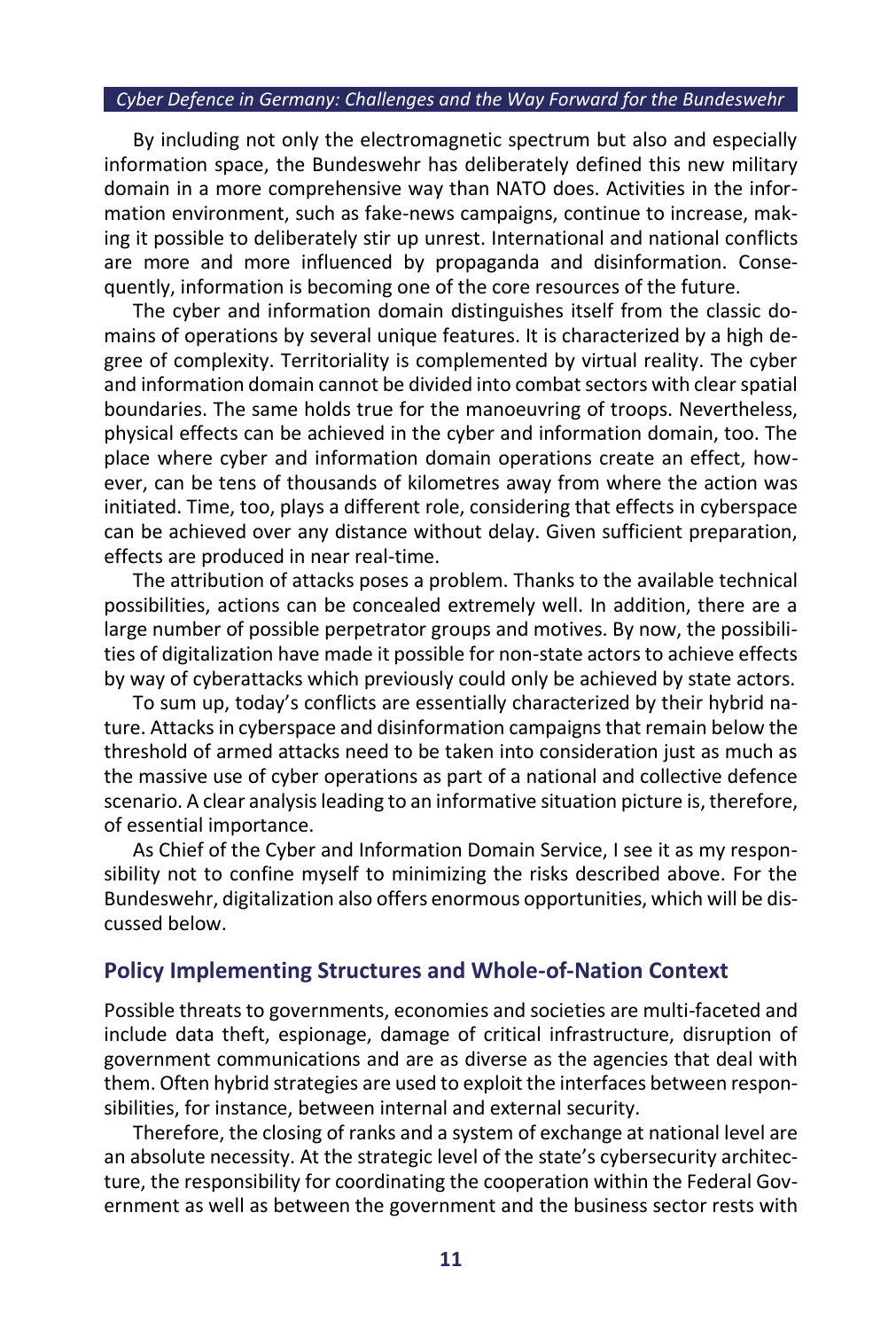By including not only the electromagnetic spectrum but also and especially information space, the Bundeswehr has deliberately defined this new military domain in a more comprehensive way than NATO does. Activities in the information environment, such as fake-news campaigns, continue to increase, making it possible to deliberately stir up unrest. International and national conflicts are more and more influenced by propaganda and disinformation. Consequently, information is becoming one of the core resources of the future.

The cyber and information domain distinguishes itself from the classic domains of operations by several unique features. It is characterized by a high degree of complexity. Territoriality is complemented by virtual reality. The cyber and information domain cannot be divided into combat sectors with clear spatial boundaries. The same holds true for the manoeuvring of troops. Nevertheless, physical effects can be achieved in the cyber and information domain, too. The place where cyber and information domain operations create an effect, however, can be tens of thousands of kilometres away from where the action was initiated. Time, too, plays a different role, considering that effects in cyberspace can be achieved over any distance without delay. Given sufficient preparation, effects are produced in near real-time.

The attribution of attacks poses a problem. Thanks to the available technical possibilities, actions can be concealed extremely well. In addition, there are a large number of possible perpetrator groups and motives. By now, the possibilities of digitalization have made it possible for non-state actors to achieve effects by way of cyberattacks which previously could only be achieved by state actors.

To sum up, today's conflicts are essentially characterized by their hybrid nature. Attacks in cyberspace and disinformation campaigns that remain below the threshold of armed attacks need to be taken into consideration just as much as the massive use of cyber operations as part of a national and collective defence scenario. A clear analysis leading to an informative situation picture is, therefore, of essential importance.

As Chief of the Cyber and Information Domain Service, I see it as my responsibility not to confine myself to minimizing the risks described above. For the Bundeswehr, digitalization also offers enormous opportunities, which will be discussed below.

### **Policy Implementing Structures and Whole-of-Nation Context**

Possible threats to governments, economies and societies are multi-faceted and include data theft, espionage, damage of critical infrastructure, disruption of government communications and are as diverse as the agencies that deal with them. Often hybrid strategies are used to exploit the interfaces between responsibilities, for instance, between internal and external security.

Therefore, the closing of ranks and a system of exchange at national level are an absolute necessity. At the strategic level of the state's cybersecurity architecture, the responsibility for coordinating the cooperation within the Federal Government as well as between the government and the business sector rests with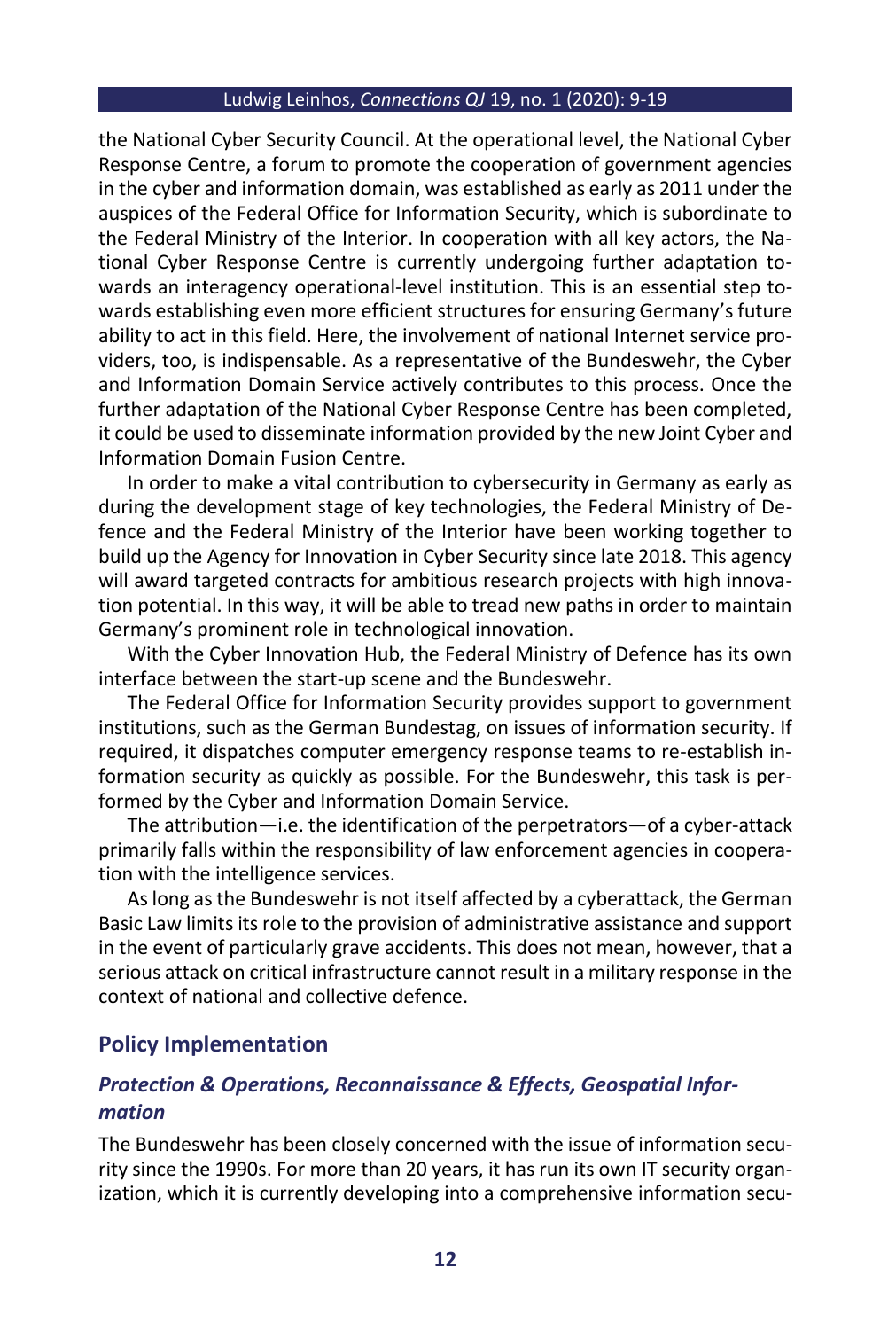#### Ludwig Leinhos, *Connections QJ* 19, no. 1 (2020): 9-19

the National Cyber Security Council. At the operational level, the National Cyber Response Centre, a forum to promote the cooperation of government agencies in the cyber and information domain, was established as early as 2011 under the auspices of the Federal Office for Information Security, which is subordinate to the Federal Ministry of the Interior. In cooperation with all key actors, the National Cyber Response Centre is currently undergoing further adaptation towards an interagency operational-level institution. This is an essential step towards establishing even more efficient structures for ensuring Germany's future ability to act in this field. Here, the involvement of national Internet service providers, too, is indispensable. As a representative of the Bundeswehr, the Cyber and Information Domain Service actively contributes to this process. Once the further adaptation of the National Cyber Response Centre has been completed, it could be used to disseminate information provided by the new Joint Cyber and Information Domain Fusion Centre.

In order to make a vital contribution to cybersecurity in Germany as early as during the development stage of key technologies, the Federal Ministry of Defence and the Federal Ministry of the Interior have been working together to build up the Agency for Innovation in Cyber Security since late 2018. This agency will award targeted contracts for ambitious research projects with high innovation potential. In this way, it will be able to tread new paths in order to maintain Germany's prominent role in technological innovation.

With the Cyber Innovation Hub, the Federal Ministry of Defence has its own interface between the start-up scene and the Bundeswehr.

The Federal Office for Information Security provides support to government institutions, such as the German Bundestag, on issues of information security. If required, it dispatches computer emergency response teams to re-establish information security as quickly as possible. For the Bundeswehr, this task is performed by the Cyber and Information Domain Service.

The attribution—i.e. the identification of the perpetrators—of a cyber-attack primarily falls within the responsibility of law enforcement agencies in cooperation with the intelligence services.

As long as the Bundeswehr is not itself affected by a cyberattack, the German Basic Law limits its role to the provision of administrative assistance and support in the event of particularly grave accidents. This does not mean, however, that a serious attack on critical infrastructure cannot result in a military response in the context of national and collective defence.

#### **Policy Implementation**

## *Protection & Operations, Reconnaissance & Effects, Geospatial Information*

The Bundeswehr has been closely concerned with the issue of information security since the 1990s. For more than 20 years, it has run its own IT security organization, which it is currently developing into a comprehensive information secu-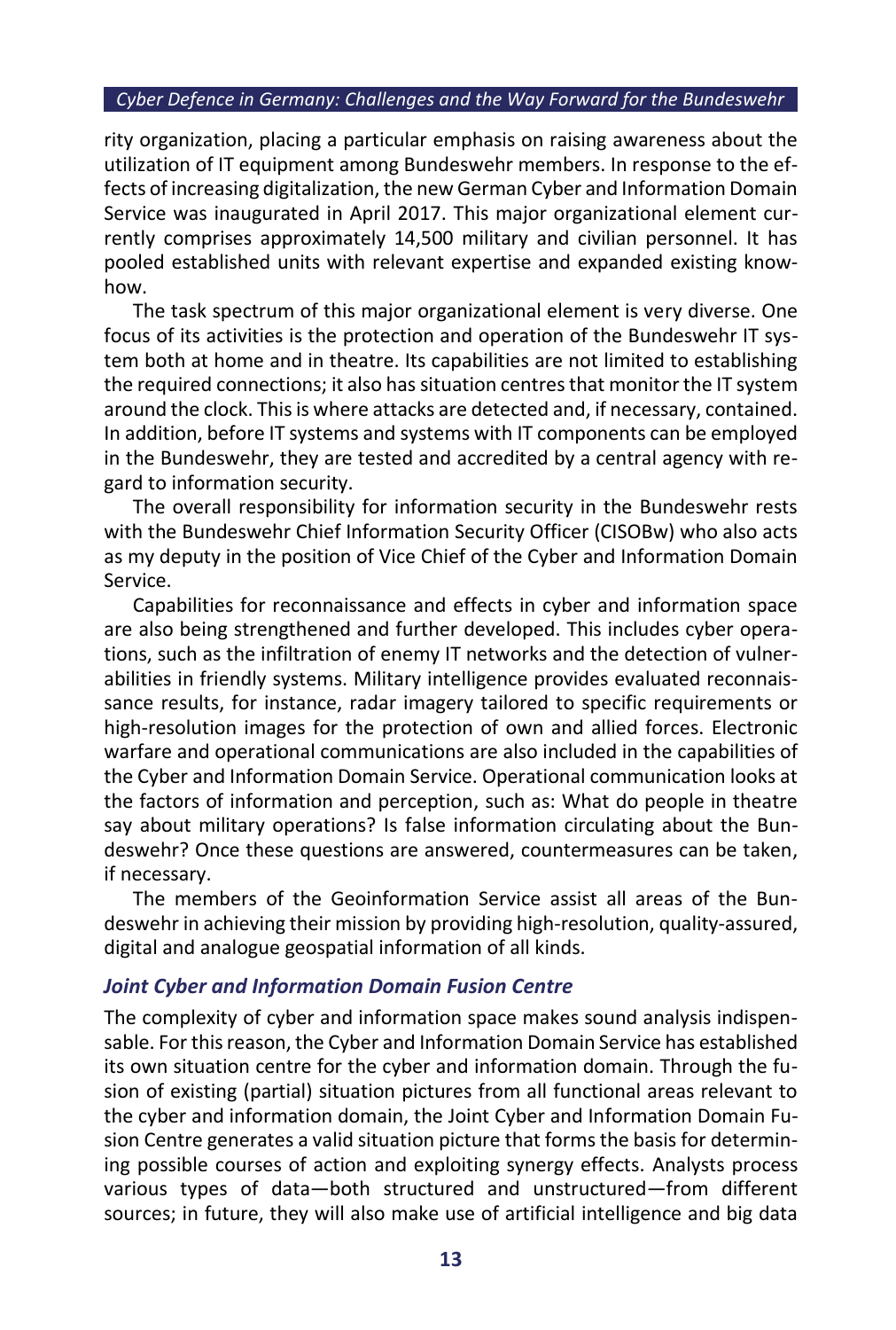rity organization, placing a particular emphasis on raising awareness about the utilization of IT equipment among Bundeswehr members. In response to the effects of increasing digitalization, the new German Cyber and Information Domain Service was inaugurated in April 2017. This major organizational element currently comprises approximately 14,500 military and civilian personnel. It has pooled established units with relevant expertise and expanded existing knowhow.

The task spectrum of this major organizational element is very diverse. One focus of its activities is the protection and operation of the Bundeswehr IT system both at home and in theatre. Its capabilities are not limited to establishing the required connections; it also has situation centres that monitor the IT system around the clock. This is where attacks are detected and, if necessary, contained. In addition, before IT systems and systems with IT components can be employed in the Bundeswehr, they are tested and accredited by a central agency with regard to information security.

The overall responsibility for information security in the Bundeswehr rests with the Bundeswehr Chief Information Security Officer (CISOBw) who also acts as my deputy in the position of Vice Chief of the Cyber and Information Domain Service.

Capabilities for reconnaissance and effects in cyber and information space are also being strengthened and further developed. This includes cyber operations, such as the infiltration of enemy IT networks and the detection of vulnerabilities in friendly systems. Military intelligence provides evaluated reconnaissance results, for instance, radar imagery tailored to specific requirements or high-resolution images for the protection of own and allied forces. Electronic warfare and operational communications are also included in the capabilities of the Cyber and Information Domain Service. Operational communication looks at the factors of information and perception, such as: What do people in theatre say about military operations? Is false information circulating about the Bundeswehr? Once these questions are answered, countermeasures can be taken, if necessary.

The members of the Geoinformation Service assist all areas of the Bundeswehr in achieving their mission by providing high-resolution, quality-assured, digital and analogue geospatial information of all kinds.

#### *Joint Cyber and Information Domain Fusion Centre*

The complexity of cyber and information space makes sound analysis indispensable. For this reason, the Cyber and Information Domain Service has established its own situation centre for the cyber and information domain. Through the fusion of existing (partial) situation pictures from all functional areas relevant to the cyber and information domain, the Joint Cyber and Information Domain Fusion Centre generates a valid situation picture that forms the basis for determining possible courses of action and exploiting synergy effects. Analysts process various types of data—both structured and unstructured—from different sources; in future, they will also make use of artificial intelligence and big data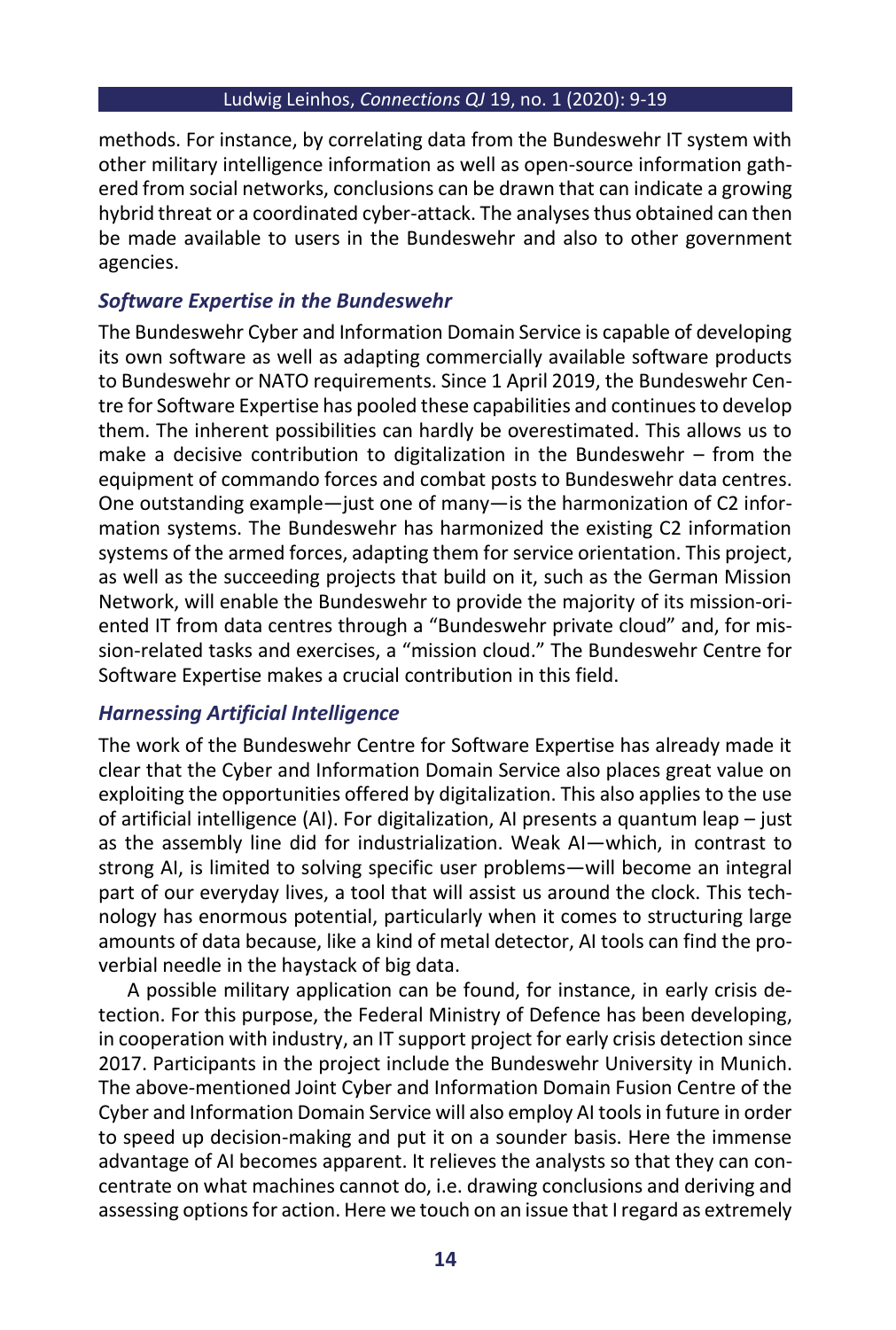methods. For instance, by correlating data from the Bundeswehr IT system with other military intelligence information as well as open-source information gathered from social networks, conclusions can be drawn that can indicate a growing hybrid threat or a coordinated cyber-attack. The analyses thus obtained can then be made available to users in the Bundeswehr and also to other government agencies.

## *Software Expertise in the Bundeswehr*

The Bundeswehr Cyber and Information Domain Service is capable of developing its own software as well as adapting commercially available software products to Bundeswehr or NATO requirements. Since 1 April 2019, the Bundeswehr Centre for Software Expertise has pooled these capabilities and continues to develop them. The inherent possibilities can hardly be overestimated. This allows us to make a decisive contribution to digitalization in the Bundeswehr – from the equipment of commando forces and combat posts to Bundeswehr data centres. One outstanding example—just one of many—is the harmonization of C2 information systems. The Bundeswehr has harmonized the existing C2 information systems of the armed forces, adapting them for service orientation. This project, as well as the succeeding projects that build on it, such as the German Mission Network, will enable the Bundeswehr to provide the majority of its mission-oriented IT from data centres through a "Bundeswehr private cloud" and, for mission-related tasks and exercises, a "mission cloud." The Bundeswehr Centre for Software Expertise makes a crucial contribution in this field.

## *Harnessing Artificial Intelligence*

The work of the Bundeswehr Centre for Software Expertise has already made it clear that the Cyber and Information Domain Service also places great value on exploiting the opportunities offered by digitalization. This also applies to the use of artificial intelligence (AI). For digitalization, AI presents a quantum leap – just as the assembly line did for industrialization. Weak AI—which, in contrast to strong AI, is limited to solving specific user problems—will become an integral part of our everyday lives, a tool that will assist us around the clock. This technology has enormous potential, particularly when it comes to structuring large amounts of data because, like a kind of metal detector, AI tools can find the proverbial needle in the haystack of big data.

A possible military application can be found, for instance, in early crisis detection. For this purpose, the Federal Ministry of Defence has been developing, in cooperation with industry, an IT support project for early crisis detection since 2017. Participants in the project include the Bundeswehr University in Munich. The above-mentioned Joint Cyber and Information Domain Fusion Centre of the Cyber and Information Domain Service will also employ AI tools in future in order to speed up decision-making and put it on a sounder basis. Here the immense advantage of AI becomes apparent. It relieves the analysts so that they can concentrate on what machines cannot do, i.e. drawing conclusions and deriving and assessing options for action. Here we touch on an issue that I regard as extremely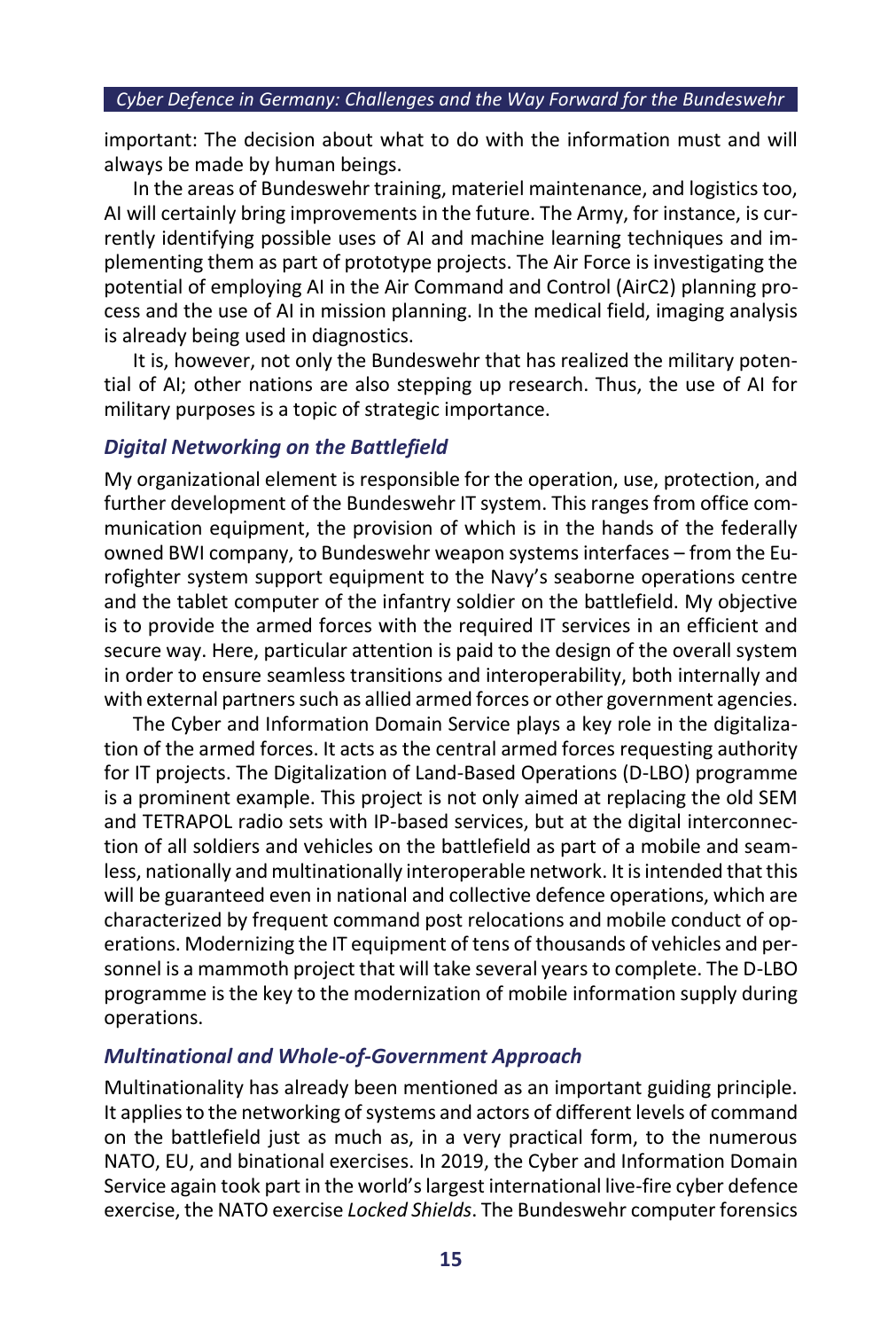important: The decision about what to do with the information must and will always be made by human beings.

In the areas of Bundeswehr training, materiel maintenance, and logistics too, AI will certainly bring improvements in the future. The Army, for instance, is currently identifying possible uses of AI and machine learning techniques and implementing them as part of prototype projects. The Air Force is investigating the potential of employing AI in the Air Command and Control (AirC2) planning process and the use of AI in mission planning. In the medical field, imaging analysis is already being used in diagnostics.

It is, however, not only the Bundeswehr that has realized the military potential of AI; other nations are also stepping up research. Thus, the use of AI for military purposes is a topic of strategic importance.

#### *Digital Networking on the Battlefield*

My organizational element is responsible for the operation, use, protection, and further development of the Bundeswehr IT system. This ranges from office communication equipment, the provision of which is in the hands of the federally owned BWI company, to Bundeswehr weapon systems interfaces – from the Eurofighter system support equipment to the Navy's seaborne operations centre and the tablet computer of the infantry soldier on the battlefield. My objective is to provide the armed forces with the required IT services in an efficient and secure way. Here, particular attention is paid to the design of the overall system in order to ensure seamless transitions and interoperability, both internally and with external partners such as allied armed forces or other government agencies.

The Cyber and Information Domain Service plays a key role in the digitalization of the armed forces. It acts as the central armed forces requesting authority for IT projects. The Digitalization of Land-Based Operations (D-LBO) programme is a prominent example. This project is not only aimed at replacing the old SEM and TETRAPOL radio sets with IP-based services, but at the digital interconnection of all soldiers and vehicles on the battlefield as part of a mobile and seamless, nationally and multinationally interoperable network. It is intended that this will be guaranteed even in national and collective defence operations, which are characterized by frequent command post relocations and mobile conduct of operations. Modernizing the IT equipment of tens of thousands of vehicles and personnel is a mammoth project that will take several years to complete. The D-LBO programme is the key to the modernization of mobile information supply during operations.

#### *Multinational and Whole-of-Government Approach*

Multinationality has already been mentioned as an important guiding principle. It applies to the networking of systems and actors of different levels of command on the battlefield just as much as, in a very practical form, to the numerous NATO, EU, and binational exercises. In 2019, the Cyber and Information Domain Service again took part in the world's largest international live-fire cyber defence exercise, the NATO exercise *Locked Shields*. The Bundeswehr computer forensics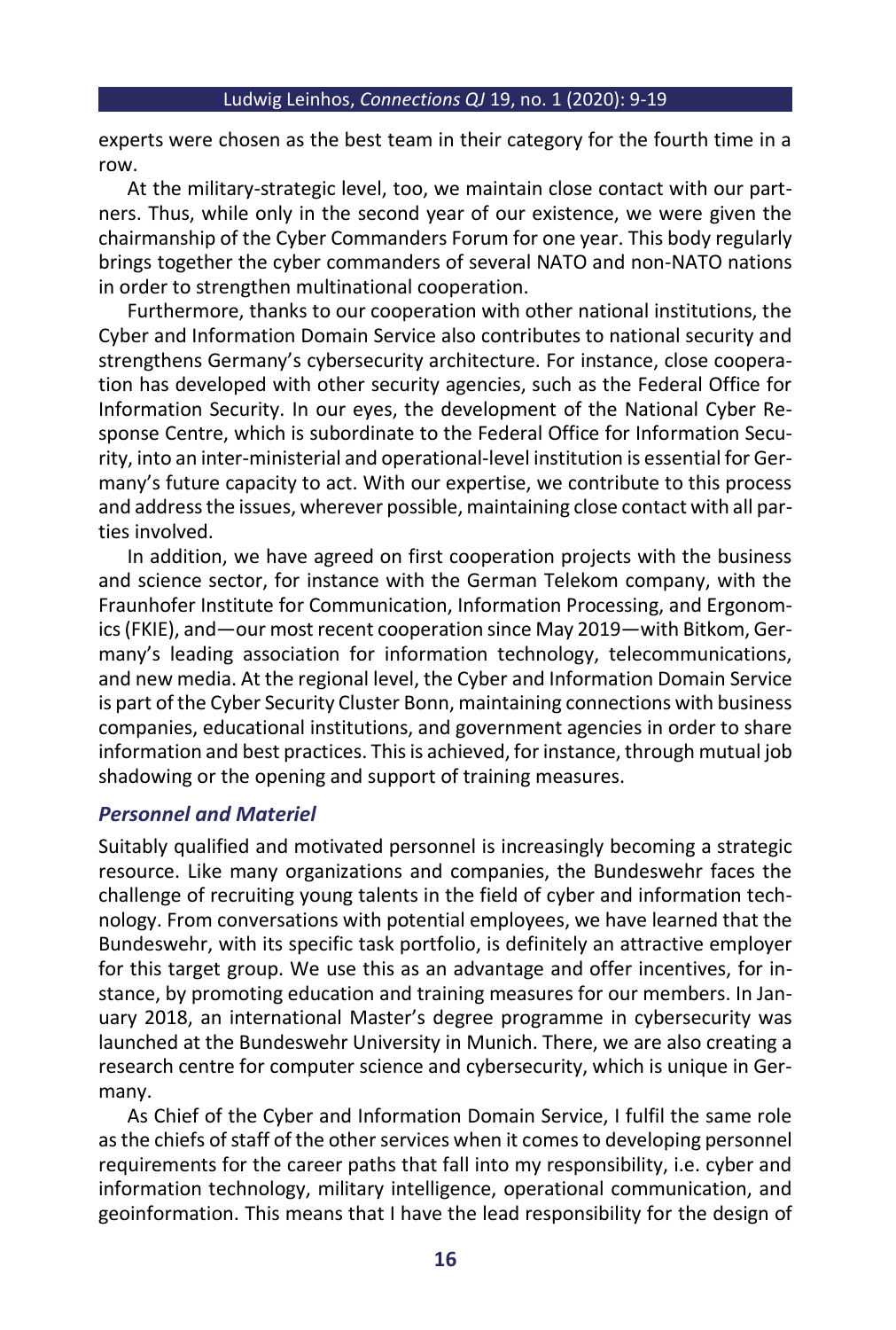experts were chosen as the best team in their category for the fourth time in a row.

At the military-strategic level, too, we maintain close contact with our partners. Thus, while only in the second year of our existence, we were given the chairmanship of the Cyber Commanders Forum for one year. This body regularly brings together the cyber commanders of several NATO and non-NATO nations in order to strengthen multinational cooperation.

Furthermore, thanks to our cooperation with other national institutions, the Cyber and Information Domain Service also contributes to national security and strengthens Germany's cybersecurity architecture. For instance, close cooperation has developed with other security agencies, such as the Federal Office for Information Security. In our eyes, the development of the National Cyber Response Centre, which is subordinate to the Federal Office for Information Security, into an inter-ministerial and operational-level institution is essential for Germany's future capacity to act. With our expertise, we contribute to this process and address the issues, wherever possible, maintaining close contact with all parties involved.

In addition, we have agreed on first cooperation projects with the business and science sector, for instance with the German Telekom company, with the Fraunhofer Institute for Communication, Information Processing, and Ergonomics (FKIE), and—our most recent cooperation since May 2019—with Bitkom, Germany's leading association for information technology, telecommunications, and new media. At the regional level, the Cyber and Information Domain Service is part of the Cyber Security Cluster Bonn, maintaining connections with business companies, educational institutions, and government agencies in order to share information and best practices. This is achieved, for instance, through mutual job shadowing or the opening and support of training measures.

#### *Personnel and Materiel*

Suitably qualified and motivated personnel is increasingly becoming a strategic resource. Like many organizations and companies, the Bundeswehr faces the challenge of recruiting young talents in the field of cyber and information technology. From conversations with potential employees, we have learned that the Bundeswehr, with its specific task portfolio, is definitely an attractive employer for this target group. We use this as an advantage and offer incentives, for instance, by promoting education and training measures for our members. In January 2018, an international Master's degree programme in cybersecurity was launched at the Bundeswehr University in Munich. There, we are also creating a research centre for computer science and cybersecurity, which is unique in Germany.

As Chief of the Cyber and Information Domain Service, I fulfil the same role as the chiefs of staff of the other services when it comes to developing personnel requirements for the career paths that fall into my responsibility, i.e. cyber and information technology, military intelligence, operational communication, and geoinformation. This means that I have the lead responsibility for the design of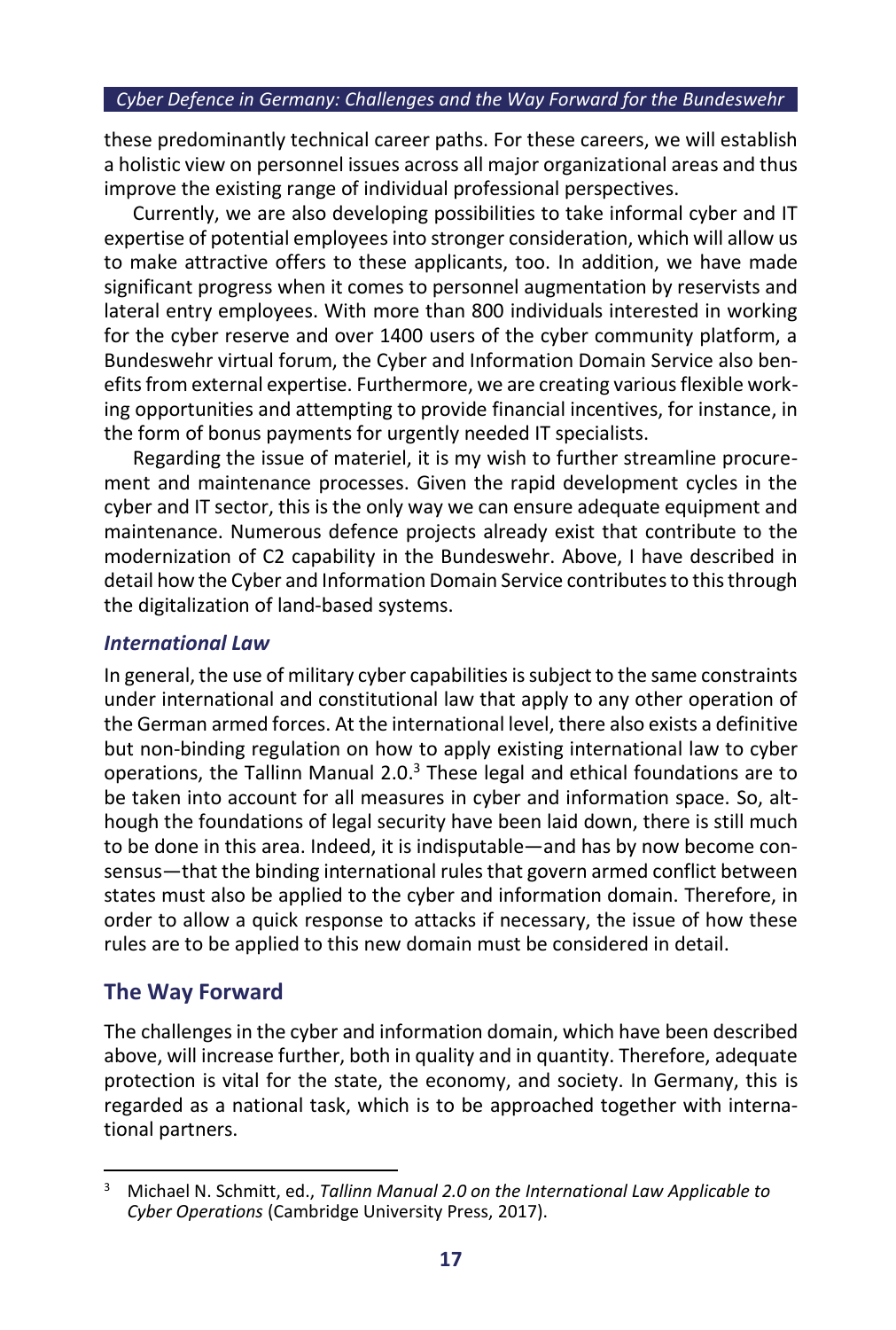these predominantly technical career paths. For these careers, we will establish a holistic view on personnel issues across all major organizational areas and thus improve the existing range of individual professional perspectives.

Currently, we are also developing possibilities to take informal cyber and IT expertise of potential employees into stronger consideration, which will allow us to make attractive offers to these applicants, too. In addition, we have made significant progress when it comes to personnel augmentation by reservists and lateral entry employees. With more than 800 individuals interested in working for the cyber reserve and over 1400 users of the cyber community platform, a Bundeswehr virtual forum, the Cyber and Information Domain Service also benefits from external expertise. Furthermore, we are creating various flexible working opportunities and attempting to provide financial incentives, for instance, in the form of bonus payments for urgently needed IT specialists.

Regarding the issue of materiel, it is my wish to further streamline procurement and maintenance processes. Given the rapid development cycles in the cyber and IT sector, this is the only way we can ensure adequate equipment and maintenance. Numerous defence projects already exist that contribute to the modernization of C2 capability in the Bundeswehr. Above, I have described in detail how the Cyber and Information Domain Service contributes to this through the digitalization of land-based systems.

#### *International Law*

In general, the use of military cyber capabilities is subject to the same constraints under international and constitutional law that apply to any other operation of the German armed forces. At the international level, there also exists a definitive but non-binding regulation on how to apply existing international law to cyber operations, the Tallinn Manual 2.0.<sup>3</sup> These legal and ethical foundations are to be taken into account for all measures in cyber and information space. So, although the foundations of legal security have been laid down, there is still much to be done in this area. Indeed, it is indisputable—and has by now become consensus—that the binding international rules that govern armed conflict between states must also be applied to the cyber and information domain. Therefore, in order to allow a quick response to attacks if necessary, the issue of how these rules are to be applied to this new domain must be considered in detail.

## **The Way Forward**

The challenges in the cyber and information domain, which have been described above, will increase further, both in quality and in quantity. Therefore, adequate protection is vital for the state, the economy, and society. In Germany, this is regarded as a national task, which is to be approached together with international partners.

<sup>3</sup> Michael N. Schmitt, ed., *Tallinn Manual 2.0 on the International Law Applicable to Cyber Operations* (Cambridge University Press, 2017).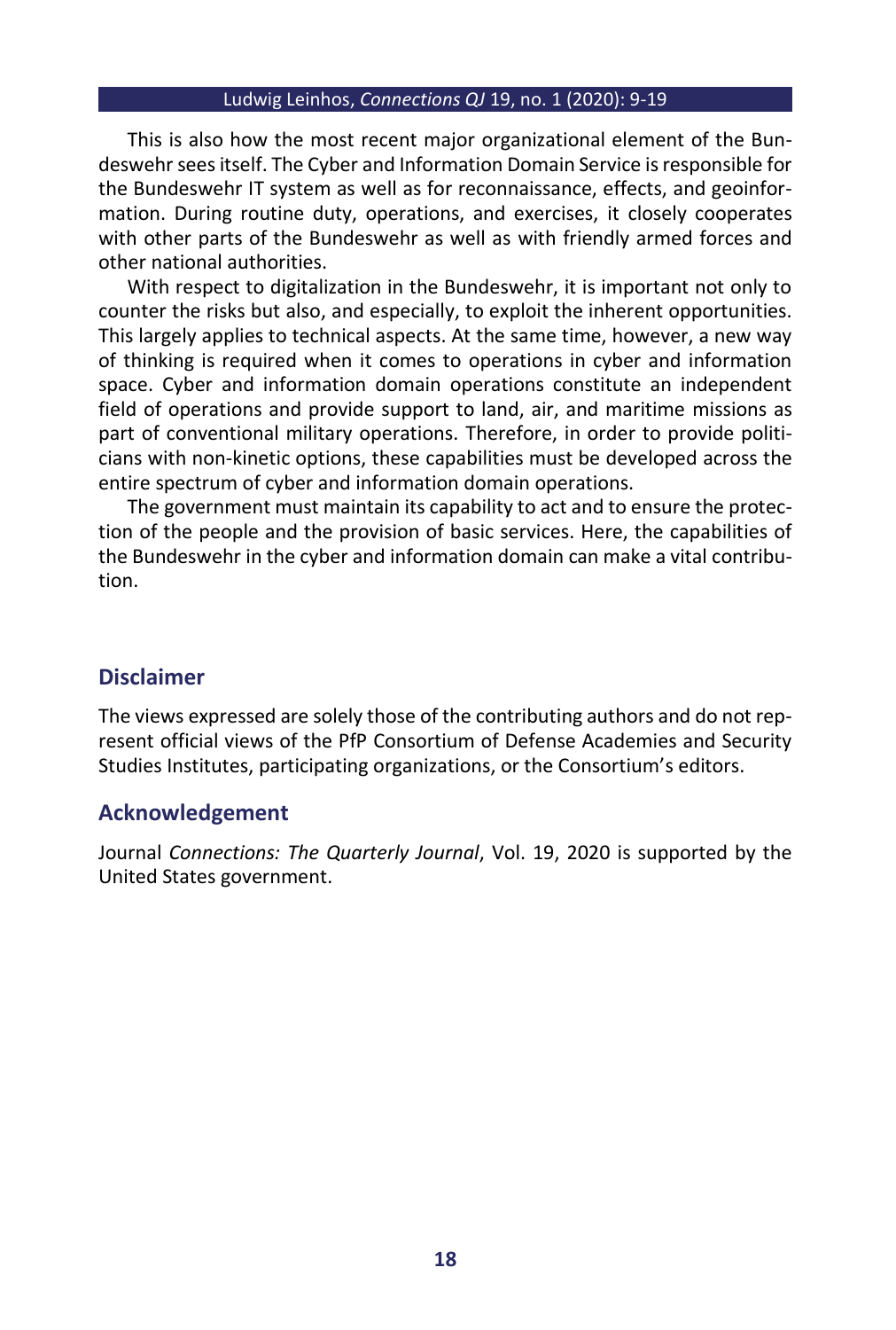#### Ludwig Leinhos, *Connections QJ* 19, no. 1 (2020): 9-19

This is also how the most recent major organizational element of the Bundeswehr sees itself. The Cyber and Information Domain Service is responsible for the Bundeswehr IT system as well as for reconnaissance, effects, and geoinformation. During routine duty, operations, and exercises, it closely cooperates with other parts of the Bundeswehr as well as with friendly armed forces and other national authorities.

With respect to digitalization in the Bundeswehr, it is important not only to counter the risks but also, and especially, to exploit the inherent opportunities. This largely applies to technical aspects. At the same time, however, a new way of thinking is required when it comes to operations in cyber and information space. Cyber and information domain operations constitute an independent field of operations and provide support to land, air, and maritime missions as part of conventional military operations. Therefore, in order to provide politicians with non-kinetic options, these capabilities must be developed across the entire spectrum of cyber and information domain operations.

The government must maintain its capability to act and to ensure the protection of the people and the provision of basic services. Here, the capabilities of the Bundeswehr in the cyber and information domain can make a vital contribution.

### **Disclaimer**

The views expressed are solely those of the contributing authors and do not represent official views of the PfP Consortium of Defense Academies and Security Studies Institutes, participating organizations, or the Consortium's editors.

#### **Acknowledgement**

Journal *Connections: The Quarterly Journal*, Vol. 19, 2020 is supported by the United States government.